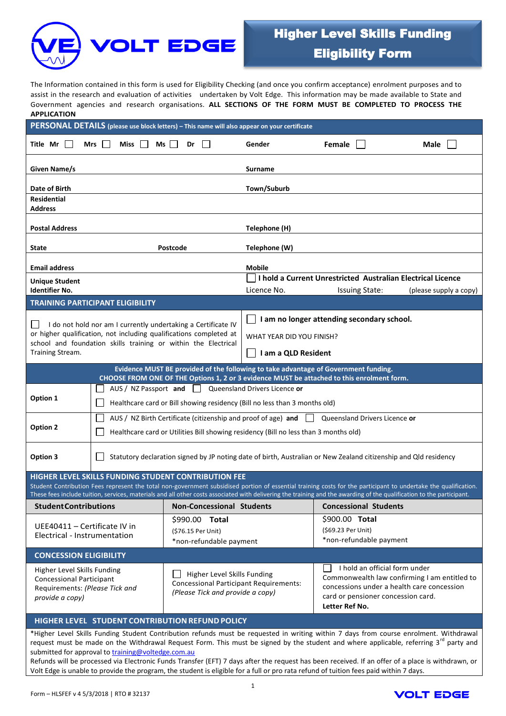

# Higher Level Skills Funding Eligibility Form

The Information contained in this form is used for Eligibility Checking (and once you confirm acceptance) enrolment purposes and to assist in the research and evaluation of activities undertaken by Volt Edge. This information may be made available to State and Government agencies and research organisations. **ALL SECTIONS OF THE FORM MUST BE COMPLETED TO PROCESS THE APPLICATION**

| PERSONAL DETAILS (please use block letters) - This name will also appear on your certificate                                           |                                                                                                                  |                |                                                                        |                                                                                            |                                                                            |                                                                                                                                                                                                                                                                                                                                          |                        |  |  |
|----------------------------------------------------------------------------------------------------------------------------------------|------------------------------------------------------------------------------------------------------------------|----------------|------------------------------------------------------------------------|--------------------------------------------------------------------------------------------|----------------------------------------------------------------------------|------------------------------------------------------------------------------------------------------------------------------------------------------------------------------------------------------------------------------------------------------------------------------------------------------------------------------------------|------------------------|--|--|
| Title Mr<br>$\mathbf{L}$                                                                                                               | Mrs<br>Miss<br>Ms                                                                                                |                | Dr                                                                     |                                                                                            | Gender                                                                     | Female                                                                                                                                                                                                                                                                                                                                   | Male                   |  |  |
| Given Name/s                                                                                                                           |                                                                                                                  |                |                                                                        |                                                                                            | <b>Surname</b>                                                             |                                                                                                                                                                                                                                                                                                                                          |                        |  |  |
| Date of Birth                                                                                                                          |                                                                                                                  |                |                                                                        |                                                                                            | Town/Suburb                                                                |                                                                                                                                                                                                                                                                                                                                          |                        |  |  |
| <b>Residential</b>                                                                                                                     |                                                                                                                  |                |                                                                        |                                                                                            |                                                                            |                                                                                                                                                                                                                                                                                                                                          |                        |  |  |
| <b>Address</b>                                                                                                                         |                                                                                                                  |                |                                                                        |                                                                                            |                                                                            |                                                                                                                                                                                                                                                                                                                                          |                        |  |  |
| <b>Postal Address</b>                                                                                                                  |                                                                                                                  |                |                                                                        |                                                                                            | Telephone (H)                                                              |                                                                                                                                                                                                                                                                                                                                          |                        |  |  |
| Postcode<br><b>State</b>                                                                                                               |                                                                                                                  |                | Telephone (W)                                                          |                                                                                            |                                                                            |                                                                                                                                                                                                                                                                                                                                          |                        |  |  |
| <b>Mobile</b><br><b>Email address</b>                                                                                                  |                                                                                                                  |                |                                                                        |                                                                                            |                                                                            |                                                                                                                                                                                                                                                                                                                                          |                        |  |  |
| <b>Unique Student</b>                                                                                                                  |                                                                                                                  |                |                                                                        |                                                                                            | I hold a Current Unrestricted Australian Electrical Licence                |                                                                                                                                                                                                                                                                                                                                          |                        |  |  |
| <b>Identifier No.</b>                                                                                                                  |                                                                                                                  |                |                                                                        |                                                                                            | Licence No.                                                                | <b>Issuing State:</b>                                                                                                                                                                                                                                                                                                                    | (please supply a copy) |  |  |
|                                                                                                                                        | <b>TRAINING PARTICIPANT ELIGIBILITY</b>                                                                          |                |                                                                        |                                                                                            |                                                                            |                                                                                                                                                                                                                                                                                                                                          |                        |  |  |
| I do not hold nor am I currently undertaking a Certificate IV<br>$\mathcal{L}$                                                         |                                                                                                                  |                | I am no longer attending secondary school.                             |                                                                                            |                                                                            |                                                                                                                                                                                                                                                                                                                                          |                        |  |  |
|                                                                                                                                        | or higher qualification, not including qualifications completed at                                               |                |                                                                        |                                                                                            | WHAT YEAR DID YOU FINISH?                                                  |                                                                                                                                                                                                                                                                                                                                          |                        |  |  |
| school and foundation skills training or within the Electrical<br>Training Stream.                                                     |                                                                                                                  |                |                                                                        | I am a QLD Resident                                                                        |                                                                            |                                                                                                                                                                                                                                                                                                                                          |                        |  |  |
|                                                                                                                                        |                                                                                                                  |                |                                                                        |                                                                                            |                                                                            | Evidence MUST BE provided of the following to take advantage of Government funding.<br>CHOOSE FROM ONE OF THE Options 1, 2 or 3 evidence MUST be attached to this enrolment form.                                                                                                                                                        |                        |  |  |
|                                                                                                                                        | AUS / NZ Passport and                                                                                            |                | $\perp$                                                                |                                                                                            | Queensland Drivers Licence or                                              |                                                                                                                                                                                                                                                                                                                                          |                        |  |  |
| Option 1                                                                                                                               |                                                                                                                  |                |                                                                        |                                                                                            | Healthcare card or Bill showing residency (Bill no less than 3 months old) |                                                                                                                                                                                                                                                                                                                                          |                        |  |  |
|                                                                                                                                        | AUS / NZ Birth Certificate (citizenship and proof of age) and<br>Queensland Drivers Licence or                   |                |                                                                        |                                                                                            |                                                                            |                                                                                                                                                                                                                                                                                                                                          |                        |  |  |
| <b>Option 2</b><br>Healthcare card or Utilities Bill showing residency (Bill no less than 3 months old)                                |                                                                                                                  |                |                                                                        |                                                                                            |                                                                            |                                                                                                                                                                                                                                                                                                                                          |                        |  |  |
| Option 3                                                                                                                               | Statutory declaration signed by JP noting date of birth, Australian or New Zealand citizenship and Qld residency |                |                                                                        |                                                                                            |                                                                            |                                                                                                                                                                                                                                                                                                                                          |                        |  |  |
|                                                                                                                                        | <b>HIGHER LEVEL SKILLS FUNDING STUDENT CONTRIBUTION FEE</b>                                                      |                |                                                                        |                                                                                            |                                                                            |                                                                                                                                                                                                                                                                                                                                          |                        |  |  |
|                                                                                                                                        |                                                                                                                  |                |                                                                        |                                                                                            |                                                                            | Student Contribution Fees represent the total non-government subsidised portion of essential training costs for the participant to undertake the qualification.<br>These fees include tuition, services, materials and all other costs associated with delivering the training and the awarding of the qualification to the participant. |                        |  |  |
| <b>Student Contributions</b>                                                                                                           |                                                                                                                  |                | <b>Non-Concessional Students</b>                                       |                                                                                            |                                                                            | <b>Concessional Students</b>                                                                                                                                                                                                                                                                                                             |                        |  |  |
| UEE40411 - Certificate IV in<br>Electrical - Instrumentation                                                                           |                                                                                                                  | \$990.00 Total |                                                                        |                                                                                            | \$900.00 Total                                                             |                                                                                                                                                                                                                                                                                                                                          |                        |  |  |
|                                                                                                                                        |                                                                                                                  |                | (\$76.15 Per Unit)                                                     |                                                                                            |                                                                            | (\$69.23 Per Unit)                                                                                                                                                                                                                                                                                                                       |                        |  |  |
|                                                                                                                                        |                                                                                                                  |                | *non-refundable payment                                                |                                                                                            |                                                                            | *non-refundable payment                                                                                                                                                                                                                                                                                                                  |                        |  |  |
| <b>CONCESSION ELIGIBILITY</b>                                                                                                          |                                                                                                                  |                |                                                                        |                                                                                            |                                                                            |                                                                                                                                                                                                                                                                                                                                          |                        |  |  |
| Higher Level Skills Funding<br>Higher Level Skills Funding                                                                             |                                                                                                                  |                |                                                                        | I hold an official form under                                                              |                                                                            |                                                                                                                                                                                                                                                                                                                                          |                        |  |  |
| <b>Concessional Participant</b><br>Requirements: (Please Tick and<br>provide a copy)                                                   |                                                                                                                  |                | <b>Concessional Participant Requirements:</b>                          | Commonwealth law confirming I am entitled to<br>concessions under a health care concession |                                                                            |                                                                                                                                                                                                                                                                                                                                          |                        |  |  |
|                                                                                                                                        |                                                                                                                  |                | (Please Tick and provide a copy)<br>card or pensioner concession card. |                                                                                            |                                                                            |                                                                                                                                                                                                                                                                                                                                          |                        |  |  |
|                                                                                                                                        |                                                                                                                  |                |                                                                        |                                                                                            |                                                                            | Letter Ref No.                                                                                                                                                                                                                                                                                                                           |                        |  |  |
| HIGHER LEVEL STUDENT CONTRIBUTION REFUND POLICY                                                                                        |                                                                                                                  |                |                                                                        |                                                                                            |                                                                            |                                                                                                                                                                                                                                                                                                                                          |                        |  |  |
| *Higher Level Skills Funding Student Contribution refunds must be requested in writing within 7 days from course enrolment. Withdrawal |                                                                                                                  |                |                                                                        |                                                                                            |                                                                            |                                                                                                                                                                                                                                                                                                                                          |                        |  |  |

request must be made on the Withdrawal Request Form. This must be signed by the student and where applicable, referring  $3^{rd}$  party and submitted for approval to [training@voltedge.com.au](mailto:training@voltedge.com.au)

Refunds will be processed via Electronic Funds Transfer (EFT) 7 days after the request has been received. If an offer of a place is withdrawn, or Volt Edge is unable to provide the program, the student is eligible for a full or pro rata refund of tuition fees paid within 7 days.

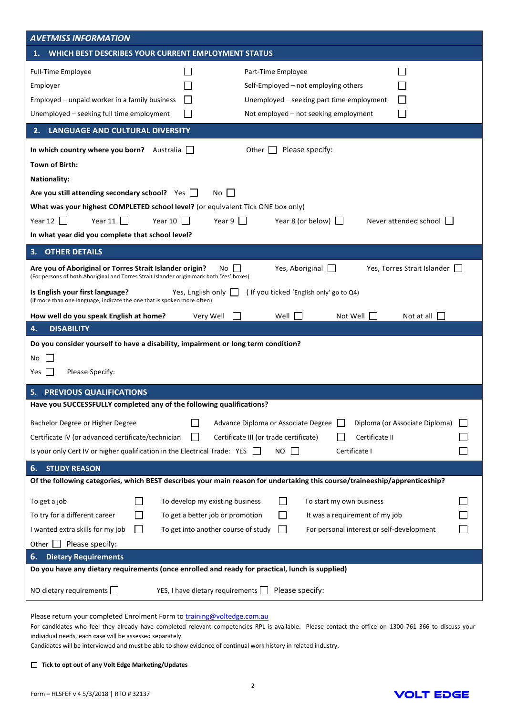| <b>AVETMISS INFORMATION</b>                                                                                                                                                                                                                                                                                                                                                                                                                                          |  |  |  |  |  |  |  |
|----------------------------------------------------------------------------------------------------------------------------------------------------------------------------------------------------------------------------------------------------------------------------------------------------------------------------------------------------------------------------------------------------------------------------------------------------------------------|--|--|--|--|--|--|--|
| WHICH BEST DESCRIBES YOUR CURRENT EMPLOYMENT STATUS<br>1.                                                                                                                                                                                                                                                                                                                                                                                                            |  |  |  |  |  |  |  |
| <b>Full-Time Employee</b><br>Part-Time Employee<br>Employer<br>Self-Employed $-$ not employing others<br>Employed - unpaid worker in a family business<br>Unemployed – seeking part time employment<br>Unemployed - seeking full time employment<br>Not employed - not seeking employment                                                                                                                                                                            |  |  |  |  |  |  |  |
| <b>LANGUAGE AND CULTURAL DIVERSITY</b><br>2.                                                                                                                                                                                                                                                                                                                                                                                                                         |  |  |  |  |  |  |  |
| Please specify:<br>In which country where you born? Australia  <br>Other<br>Town of Birth:<br><b>Nationality:</b><br>Are you still attending secondary school? Yes $\Box$<br>No<br>What was your highest COMPLETED school level? (or equivalent Tick ONE box only)                                                                                                                                                                                                   |  |  |  |  |  |  |  |
| Year 11 $\vert$<br>Year 10 $\Box$<br>Year $9$    <br>Year 12 $\vert$<br>Year 8 (or below)<br>Never attended school                                                                                                                                                                                                                                                                                                                                                   |  |  |  |  |  |  |  |
| In what year did you complete that school level?<br><b>OTHER DETAILS</b>                                                                                                                                                                                                                                                                                                                                                                                             |  |  |  |  |  |  |  |
| З.<br>Yes, Aboriginal $\Box$<br>Yes, Torres Strait Islander<br>Are you of Aboriginal or Torres Strait Islander origin?<br>No.<br>(For persons of both Aboriginal and Torres Strait Islander origin mark both 'Yes' boxes)                                                                                                                                                                                                                                            |  |  |  |  |  |  |  |
| (If you ticked 'English only' go to Q4)<br>Is English your first language?<br>Yes, English only $\Box$<br>(If more than one language, indicate the one that is spoken more often)                                                                                                                                                                                                                                                                                    |  |  |  |  |  |  |  |
| Well<br>Not Well<br>Not at all<br>How well do you speak English at home?<br>Very Well                                                                                                                                                                                                                                                                                                                                                                                |  |  |  |  |  |  |  |
| <b>DISABILITY</b><br>4.                                                                                                                                                                                                                                                                                                                                                                                                                                              |  |  |  |  |  |  |  |
| Do you consider yourself to have a disability, impairment or long term condition?<br>No<br>Please Specify:<br>Yes                                                                                                                                                                                                                                                                                                                                                    |  |  |  |  |  |  |  |
| PREVIOUS QUALIFICATIONS                                                                                                                                                                                                                                                                                                                                                                                                                                              |  |  |  |  |  |  |  |
| Have you SUCCESSFULLY completed any of the following qualifications?<br>Bachelor Degree or Higher Degree<br>Advance Diploma or Associate Degree<br>Diploma (or Associate Diploma)<br>Certificate II<br>Certificate IV (or advanced certificate/technician<br>Certificate III (or trade certificate)<br>Is your only Cert IV or higher qualification in the Electrical Trade: YES<br>NO<br>Certificate I                                                              |  |  |  |  |  |  |  |
| <b>STUDY REASON</b><br>6.                                                                                                                                                                                                                                                                                                                                                                                                                                            |  |  |  |  |  |  |  |
| Of the following categories, which BEST describes your main reason for undertaking this course/traineeship/apprenticeship?<br>To get a job<br>To develop my existing business<br>To start my own business<br>To try for a different career<br>To get a better job or promotion<br>It was a requirement of my job<br>I wanted extra skills for my job<br>To get into another course of study<br>For personal interest or self-development<br>Please specify:<br>Other |  |  |  |  |  |  |  |
| <b>Dietary Requirements</b><br>6.                                                                                                                                                                                                                                                                                                                                                                                                                                    |  |  |  |  |  |  |  |
| Do you have any dietary requirements (once enrolled and ready for practical, lunch is supplied)                                                                                                                                                                                                                                                                                                                                                                      |  |  |  |  |  |  |  |
| NO dietary requirements $\Box$<br>YES, I have dietary requirements $\Box$<br>Please specify:                                                                                                                                                                                                                                                                                                                                                                         |  |  |  |  |  |  |  |

Please return your completed Enrolment Form t[o training@voltedge.com.au](mailto:training@voltedge.com.au)

For candidates who feel they already have completed relevant competencies RPL is available. Please contact the office on 1300 761 366 to discuss your individual needs, each case will be assessed separately.

Candidates will be interviewed and must be able to show evidence of continual work history in related industry.

# **Tick to opt out of any Volt Edge Marketing/Updates**